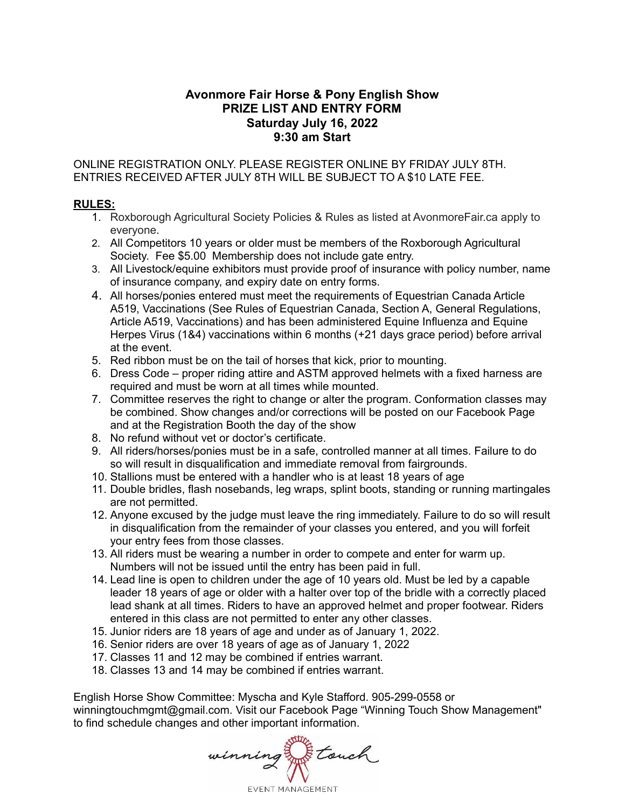# **Avonmore Fair Horse & Pony English Show PRIZE LIST AND ENTRY FORM Saturday July 16, 2022 9:30 am Start**

ONLINE REGISTRATION ONLY. PLEASE REGISTER ONLINE BY FRIDAY JULY 8TH. ENTRIES RECEIVED AFTER JULY 8TH WILL BE SUBJECT TO A \$10 LATE FEE.

# **RULES:**

- 1. Roxborough Agricultural Society Policies & Rules as listed at AvonmoreFair.ca apply to everyone.
- 2. All Competitors 10 years or older must be members of the Roxborough Agricultural Society. Fee \$5.00 Membership does not include gate entry.
- 3. All Livestock/equine exhibitors must provide proof of insurance with policy number, name of insurance company, and expiry date on entry forms.
- 4. All horses/ponies entered must meet the requirements of Equestrian Canada Article A519, Vaccinations (See Rules of Equestrian Canada, Section A, General Regulations, Article A519, Vaccinations) and has been administered Equine Influenza and Equine Herpes Virus (1&4) vaccinations within 6 months (+21 days grace period) before arrival at the event.
- 5. Red ribbon must be on the tail of horses that kick, prior to mounting.
- 6. Dress Code proper riding attire and ASTM approved helmets with a fixed harness are required and must be worn at all times while mounted.
- 7. Committee reserves the right to change or alter the program. Conformation classes may be combined. Show changes and/or corrections will be posted on our Facebook Page and at the Registration Booth the day of the show
- 8. No refund without vet or doctor's certificate.
- 9. All riders/horses/ponies must be in a safe, controlled manner at all times. Failure to do so will result in disqualification and immediate removal from fairgrounds.
- 10. Stallions must be entered with a handler who is at least 18 years of age
- 11. Double bridles, flash nosebands, leg wraps, splint boots, standing or running martingales are not permitted.
- 12. Anyone excused by the judge must leave the ring immediately. Failure to do so will result in disqualification from the remainder of your classes you entered, and you will forfeit your entry fees from those classes.
- 13. All riders must be wearing a number in order to compete and enter for warm up. Numbers will not be issued until the entry has been paid in full.
- 14. Lead line is open to children under the age of 10 years old. Must be led by a capable leader 18 years of age or older with a halter over top of the bridle with a correctly placed lead shank at all times. Riders to have an approved helmet and proper footwear. Riders entered in this class are not permitted to enter any other classes.
- 15. Junior riders are 18 years of age and under as of January 1, 2022.
- 16. Senior riders are over 18 years of age as of January 1, 2022
- 17. Classes 11 and 12 may be combined if entries warrant.
- 18. Classes 13 and 14 may be combined if entries warrant.

English Horse Show Committee: Myscha and Kyle Stafford. 905-299-0558 or winningtouchmgmt@gmail.com. Visit our Facebook Page "Winning Touch Show Management" to find schedule changes and other important information.

winning Flouch **EVENT MANAGEMENT**